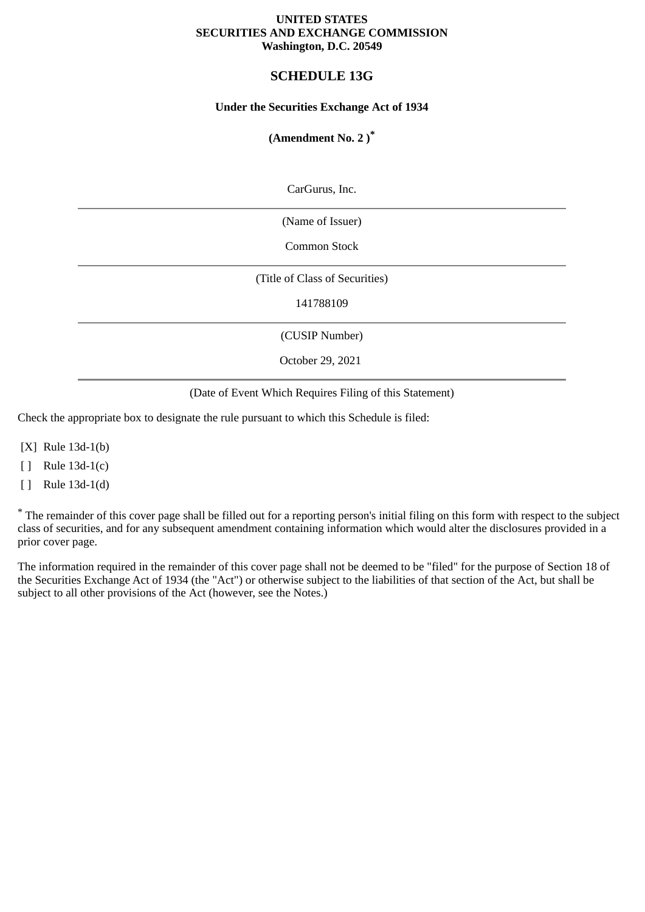#### **UNITED STATES SECURITIES AND EXCHANGE COMMISSION Washington, D.C. 20549**

# **SCHEDULE 13G**

## **Under the Securities Exchange Act of 1934**

# **(Amendment No. 2 )\***

CarGurus, Inc.

(Name of Issuer)

Common Stock

(Title of Class of Securities)

141788109

(CUSIP Number)

October 29, 2021

#### (Date of Event Which Requires Filing of this Statement)

Check the appropriate box to designate the rule pursuant to which this Schedule is filed:

[X] Rule 13d-1(b)

[ ] Rule 13d-1(c)

[ ] Rule 13d-1(d)

\* The remainder of this cover page shall be filled out for a reporting person's initial filing on this form with respect to the subject class of securities, and for any subsequent amendment containing information which would alter the disclosures provided in a prior cover page.

The information required in the remainder of this cover page shall not be deemed to be "filed" for the purpose of Section 18 of the Securities Exchange Act of 1934 (the "Act") or otherwise subject to the liabilities of that section of the Act, but shall be subject to all other provisions of the Act (however, see the Notes.)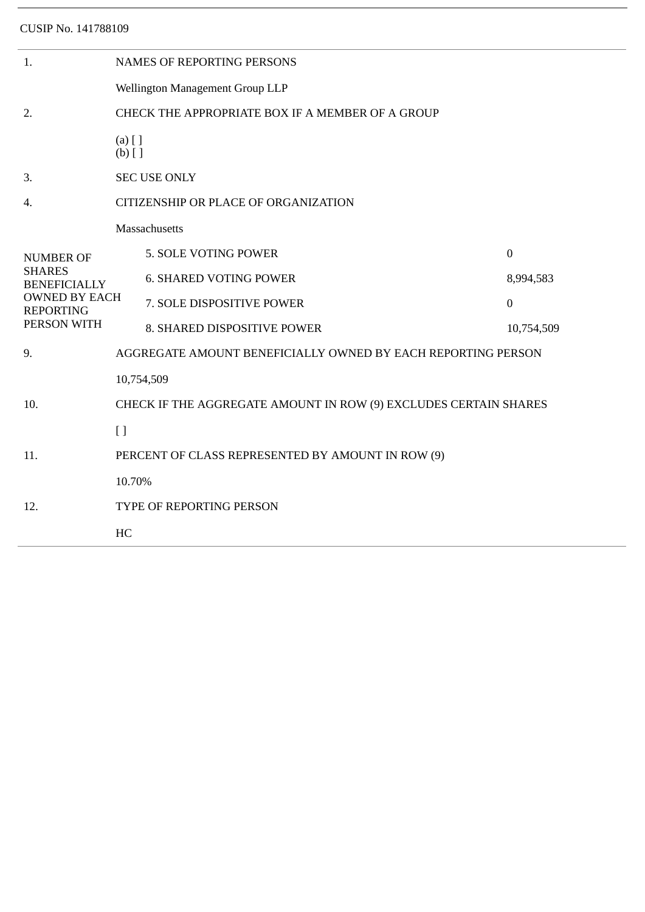| 1.                                                                                                                  | <b>NAMES OF REPORTING PERSONS</b>                                |                               |                  |  |  |
|---------------------------------------------------------------------------------------------------------------------|------------------------------------------------------------------|-------------------------------|------------------|--|--|
|                                                                                                                     | Wellington Management Group LLP                                  |                               |                  |  |  |
| 2.                                                                                                                  | CHECK THE APPROPRIATE BOX IF A MEMBER OF A GROUP                 |                               |                  |  |  |
|                                                                                                                     | $(a)$ [ ]<br>$(b)$ []                                            |                               |                  |  |  |
| 3.                                                                                                                  | <b>SEC USE ONLY</b>                                              |                               |                  |  |  |
| 4.                                                                                                                  | CITIZENSHIP OR PLACE OF ORGANIZATION                             |                               |                  |  |  |
| <b>NUMBER OF</b><br><b>SHARES</b><br><b>BENEFICIALLY</b><br><b>OWNED BY EACH</b><br><b>REPORTING</b><br>PERSON WITH | Massachusetts                                                    |                               |                  |  |  |
|                                                                                                                     |                                                                  | 5. SOLE VOTING POWER          | $\boldsymbol{0}$ |  |  |
|                                                                                                                     |                                                                  | <b>6. SHARED VOTING POWER</b> | 8,994,583        |  |  |
|                                                                                                                     |                                                                  | 7. SOLE DISPOSITIVE POWER     | $\mathbf{0}$     |  |  |
|                                                                                                                     |                                                                  | 8. SHARED DISPOSITIVE POWER   | 10,754,509       |  |  |
| 9.                                                                                                                  | AGGREGATE AMOUNT BENEFICIALLY OWNED BY EACH REPORTING PERSON     |                               |                  |  |  |
| 10.                                                                                                                 | 10,754,509                                                       |                               |                  |  |  |
|                                                                                                                     | CHECK IF THE AGGREGATE AMOUNT IN ROW (9) EXCLUDES CERTAIN SHARES |                               |                  |  |  |
|                                                                                                                     | $\left[ \ \right]$                                               |                               |                  |  |  |
| 11.                                                                                                                 | PERCENT OF CLASS REPRESENTED BY AMOUNT IN ROW (9)                |                               |                  |  |  |
|                                                                                                                     | 10.70%                                                           |                               |                  |  |  |
| 12.                                                                                                                 | TYPE OF REPORTING PERSON                                         |                               |                  |  |  |
|                                                                                                                     | HC                                                               |                               |                  |  |  |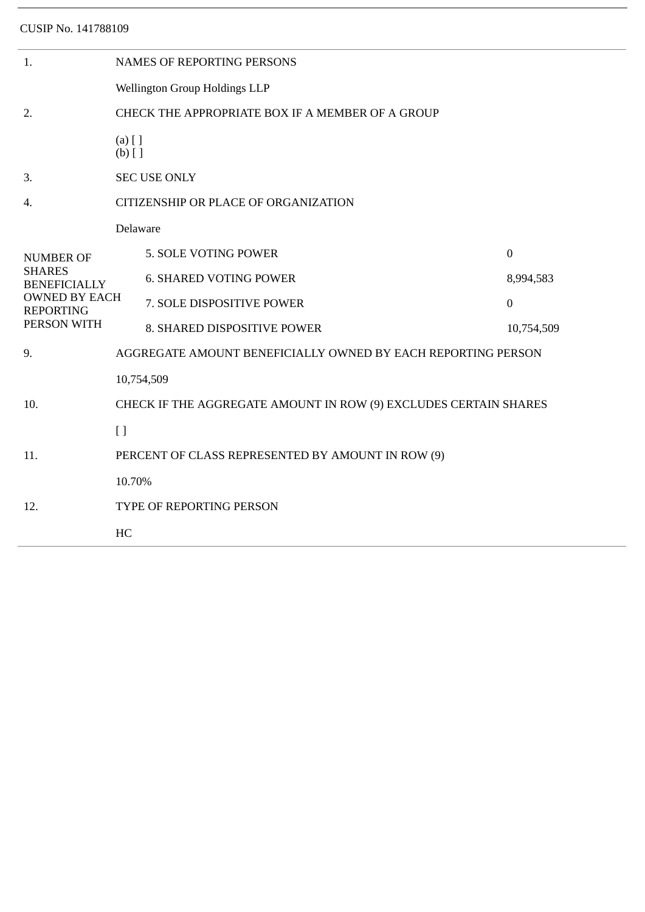| 1.                                                                                                                  | NAMES OF REPORTING PERSONS                                       |                               |              |  |  |  |
|---------------------------------------------------------------------------------------------------------------------|------------------------------------------------------------------|-------------------------------|--------------|--|--|--|
|                                                                                                                     | Wellington Group Holdings LLP                                    |                               |              |  |  |  |
| 2.                                                                                                                  | CHECK THE APPROPRIATE BOX IF A MEMBER OF A GROUP                 |                               |              |  |  |  |
|                                                                                                                     | $(a)$ [ ]<br>$(b)$ []                                            |                               |              |  |  |  |
| 3.                                                                                                                  | <b>SEC USE ONLY</b>                                              |                               |              |  |  |  |
| 4.                                                                                                                  | CITIZENSHIP OR PLACE OF ORGANIZATION                             |                               |              |  |  |  |
| <b>NUMBER OF</b><br><b>SHARES</b><br><b>BENEFICIALLY</b><br><b>OWNED BY EACH</b><br><b>REPORTING</b><br>PERSON WITH | Delaware                                                         |                               |              |  |  |  |
|                                                                                                                     |                                                                  | 5. SOLE VOTING POWER          | $\mathbf{0}$ |  |  |  |
|                                                                                                                     |                                                                  | <b>6. SHARED VOTING POWER</b> | 8,994,583    |  |  |  |
|                                                                                                                     |                                                                  | 7. SOLE DISPOSITIVE POWER     | $\mathbf{0}$ |  |  |  |
|                                                                                                                     |                                                                  | 8. SHARED DISPOSITIVE POWER   | 10,754,509   |  |  |  |
| 9.                                                                                                                  | AGGREGATE AMOUNT BENEFICIALLY OWNED BY EACH REPORTING PERSON     |                               |              |  |  |  |
| 10.                                                                                                                 | 10,754,509                                                       |                               |              |  |  |  |
|                                                                                                                     | CHECK IF THE AGGREGATE AMOUNT IN ROW (9) EXCLUDES CERTAIN SHARES |                               |              |  |  |  |
|                                                                                                                     | $\left[ \ \right]$                                               |                               |              |  |  |  |
| 11.                                                                                                                 | PERCENT OF CLASS REPRESENTED BY AMOUNT IN ROW (9)                |                               |              |  |  |  |
|                                                                                                                     | 10.70%                                                           |                               |              |  |  |  |
| 12.                                                                                                                 | TYPE OF REPORTING PERSON                                         |                               |              |  |  |  |
|                                                                                                                     | HC                                                               |                               |              |  |  |  |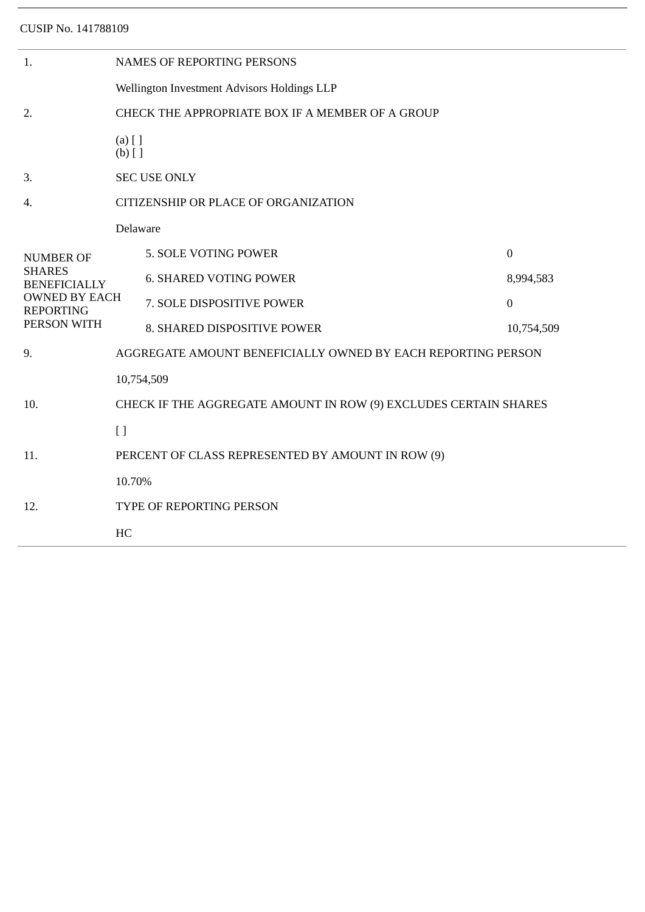| 1.                                                      | <b>NAMES OF REPORTING PERSONS</b>                                |                                                              |                  |  |  |  |
|---------------------------------------------------------|------------------------------------------------------------------|--------------------------------------------------------------|------------------|--|--|--|
|                                                         | Wellington Investment Advisors Holdings LLP                      |                                                              |                  |  |  |  |
| 2.                                                      | CHECK THE APPROPRIATE BOX IF A MEMBER OF A GROUP                 |                                                              |                  |  |  |  |
|                                                         | $(a)$ [ ]<br>$(b)$ []                                            |                                                              |                  |  |  |  |
| 3.                                                      | <b>SEC USE ONLY</b>                                              |                                                              |                  |  |  |  |
| 4.                                                      | CITIZENSHIP OR PLACE OF ORGANIZATION                             |                                                              |                  |  |  |  |
|                                                         | Delaware                                                         |                                                              |                  |  |  |  |
| <b>NUMBER OF</b>                                        |                                                                  | 5. SOLE VOTING POWER                                         | $\boldsymbol{0}$ |  |  |  |
| <b>SHARES</b><br><b>BENEFICIALLY</b>                    |                                                                  | <b>6. SHARED VOTING POWER</b>                                | 8,994,583        |  |  |  |
| <b>OWNED BY EACH</b><br><b>REPORTING</b><br>PERSON WITH |                                                                  | 7. SOLE DISPOSITIVE POWER                                    | $\boldsymbol{0}$ |  |  |  |
|                                                         |                                                                  | 8. SHARED DISPOSITIVE POWER                                  | 10,754,509       |  |  |  |
| 9.                                                      |                                                                  | AGGREGATE AMOUNT BENEFICIALLY OWNED BY EACH REPORTING PERSON |                  |  |  |  |
| 10.                                                     | 10,754,509                                                       |                                                              |                  |  |  |  |
|                                                         | CHECK IF THE AGGREGATE AMOUNT IN ROW (9) EXCLUDES CERTAIN SHARES |                                                              |                  |  |  |  |
|                                                         | $[ \ ]$                                                          |                                                              |                  |  |  |  |
| 11.                                                     | PERCENT OF CLASS REPRESENTED BY AMOUNT IN ROW (9)                |                                                              |                  |  |  |  |
|                                                         | 10.70%                                                           |                                                              |                  |  |  |  |
| 12.                                                     | TYPE OF REPORTING PERSON                                         |                                                              |                  |  |  |  |
|                                                         | HC                                                               |                                                              |                  |  |  |  |
|                                                         |                                                                  |                                                              |                  |  |  |  |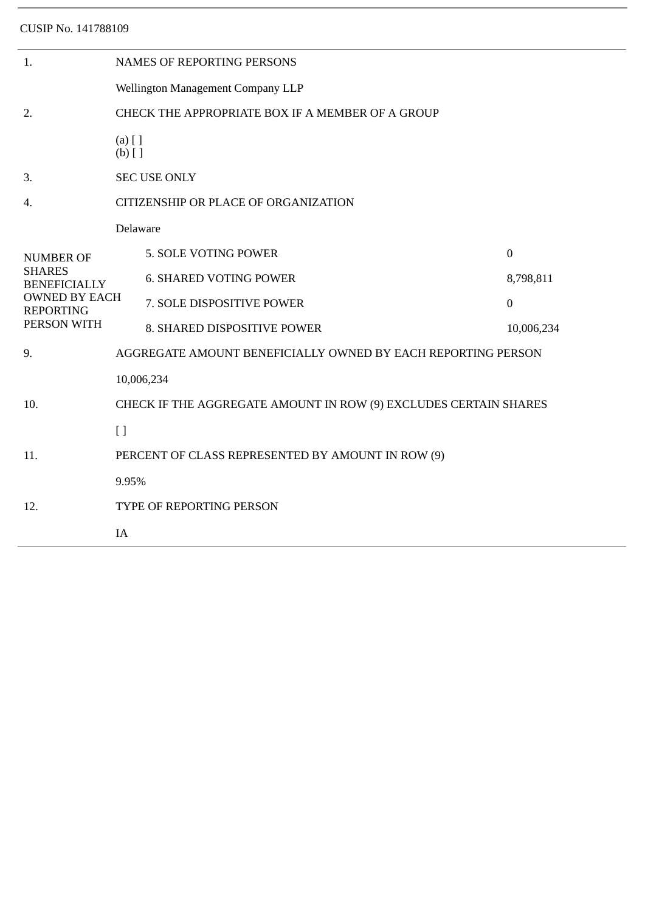| 1.                                                                                              | <b>NAMES OF REPORTING PERSONS</b>                                |                               |                |  |  |  |
|-------------------------------------------------------------------------------------------------|------------------------------------------------------------------|-------------------------------|----------------|--|--|--|
|                                                                                                 | Wellington Management Company LLP                                |                               |                |  |  |  |
| 2.                                                                                              | CHECK THE APPROPRIATE BOX IF A MEMBER OF A GROUP                 |                               |                |  |  |  |
|                                                                                                 | $(a)$ [ ]<br>$(b)$ []                                            |                               |                |  |  |  |
| 3.                                                                                              | <b>SEC USE ONLY</b>                                              |                               |                |  |  |  |
| 4.                                                                                              | CITIZENSHIP OR PLACE OF ORGANIZATION                             |                               |                |  |  |  |
|                                                                                                 | Delaware                                                         |                               |                |  |  |  |
| <b>NUMBER OF</b>                                                                                |                                                                  | 5. SOLE VOTING POWER          | $\mathbf{0}$   |  |  |  |
| <b>SHARES</b><br><b>BENEFICIALLY</b><br><b>OWNED BY EACH</b><br><b>REPORTING</b><br>PERSON WITH |                                                                  | <b>6. SHARED VOTING POWER</b> | 8,798,811      |  |  |  |
|                                                                                                 |                                                                  | 7. SOLE DISPOSITIVE POWER     | $\overline{0}$ |  |  |  |
|                                                                                                 |                                                                  | 8. SHARED DISPOSITIVE POWER   | 10,006,234     |  |  |  |
| 9.                                                                                              | AGGREGATE AMOUNT BENEFICIALLY OWNED BY EACH REPORTING PERSON     |                               |                |  |  |  |
|                                                                                                 | 10,006,234                                                       |                               |                |  |  |  |
| 10.                                                                                             | CHECK IF THE AGGREGATE AMOUNT IN ROW (9) EXCLUDES CERTAIN SHARES |                               |                |  |  |  |
|                                                                                                 | $[ ]$                                                            |                               |                |  |  |  |
| 11.                                                                                             | PERCENT OF CLASS REPRESENTED BY AMOUNT IN ROW (9)                |                               |                |  |  |  |
| 12.                                                                                             | 9.95%                                                            |                               |                |  |  |  |
|                                                                                                 | TYPE OF REPORTING PERSON                                         |                               |                |  |  |  |
|                                                                                                 | IA                                                               |                               |                |  |  |  |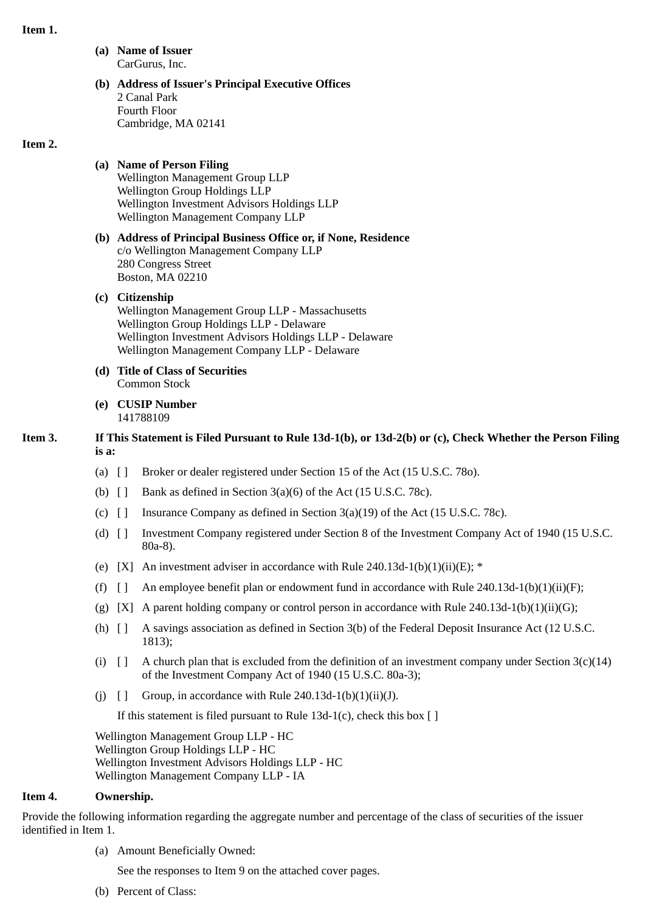#### **Item 1.**

**(a) Name of Issuer** CarGurus, Inc.

#### **(b) Address of Issuer's Principal Executive Offices** 2 Canal Park Fourth Floor Cambridge, MA 02141

#### **Item 2.**

# **(a) Name of Person Filing**

Wellington Management Group LLP Wellington Group Holdings LLP Wellington Investment Advisors Holdings LLP Wellington Management Company LLP

#### **(b) Address of Principal Business Office or, if None, Residence** c/o Wellington Management Company LLP 280 Congress Street Boston, MA 02210

## **(c) Citizenship**

Wellington Management Group LLP - Massachusetts Wellington Group Holdings LLP - Delaware Wellington Investment Advisors Holdings LLP - Delaware Wellington Management Company LLP - Delaware

- **(d) Title of Class of Securities** Common Stock
- **(e) CUSIP Number** 141788109

# **Item 3. If This Statement is Filed Pursuant to Rule 13d-1(b), or 13d-2(b) or (c), Check Whether the Person Filing is a:**

- (a) [ ] Broker or dealer registered under Section 15 of the Act (15 U.S.C. 78o).
- (b)  $\begin{bmatrix} \end{bmatrix}$  Bank as defined in Section 3(a)(6) of the Act (15 U.S.C. 78c).
- (c)  $\lceil \cdot \rceil$  Insurance Company as defined in Section 3(a)(19) of the Act (15 U.S.C. 78c).
- (d) [ ] Investment Company registered under Section 8 of the Investment Company Act of 1940 (15 U.S.C. 80a-8).
- (e) [X] An investment adviser in accordance with Rule 240.13d-1(b)(1)(ii)(E);  $*$
- (f)  $\begin{bmatrix} 1 \\ 1 \end{bmatrix}$  An employee benefit plan or endowment fund in accordance with Rule 240.13d-1(b)(1)(ii)(F);
- (g) [X] A parent holding company or control person in accordance with Rule 240.13d-1(b)(1)(ii)(G);
- (h) [ ] A savings association as defined in Section 3(b) of the Federal Deposit Insurance Act (12 U.S.C. 1813);
- (i)  $\lceil \rceil$  A church plan that is excluded from the definition of an investment company under Section 3(c)(14) of the Investment Company Act of 1940 (15 U.S.C. 80a-3);
- (i)  $\lceil \cdot \rceil$  Group, in accordance with Rule 240.13d-1(b)(1)(ii)(J).

If this statement is filed pursuant to Rule 13d-1(c), check this box  $[ ]$ 

Wellington Management Group LLP - HC Wellington Group Holdings LLP - HC Wellington Investment Advisors Holdings LLP - HC Wellington Management Company LLP - IA

## **Item 4. Ownership.**

Provide the following information regarding the aggregate number and percentage of the class of securities of the issuer identified in Item 1.

(a) Amount Beneficially Owned:

See the responses to Item 9 on the attached cover pages.

(b) Percent of Class: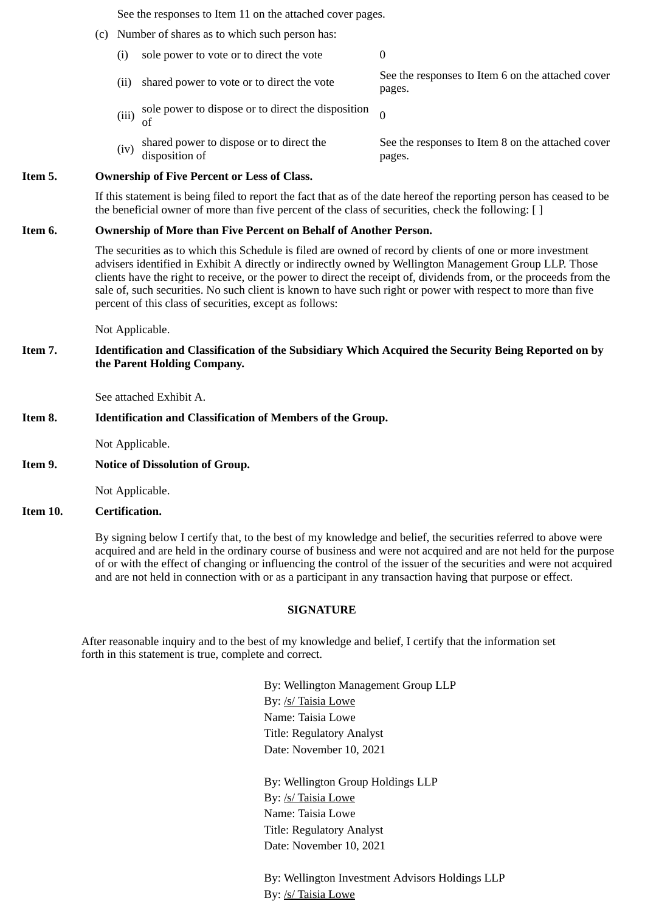See the responses to Item 11 on the attached cover pages.

- (c) Number of shares as to which such person has:
	- (i) sole power to vote or to direct the vote  $0$
	- (ii) shared power to vote or to direct the vote See the responses to Item 6 on the attached cover pages.
	- (iii) sole power to dispose or to direct the disposition  $\sigma$ 
		- See the responses to Item 8 on the attached cover pages.

#### **Item 5. Ownership of Five Percent or Less of Class.**

disposition of

If this statement is being filed to report the fact that as of the date hereof the reporting person has ceased to be the beneficial owner of more than five percent of the class of securities, check the following: [ ]

#### **Item 6. Ownership of More than Five Percent on Behalf of Another Person.**

 $(iv)$  shared power to dispose or to direct the

The securities as to which this Schedule is filed are owned of record by clients of one or more investment advisers identified in Exhibit A directly or indirectly owned by Wellington Management Group LLP. Those clients have the right to receive, or the power to direct the receipt of, dividends from, or the proceeds from the sale of, such securities. No such client is known to have such right or power with respect to more than five percent of this class of securities, except as follows:

Not Applicable.

## **Item 7. Identification and Classification of the Subsidiary Which Acquired the Security Being Reported on by the Parent Holding Company.**

See attached Exhibit A.

### **Item 8. Identification and Classification of Members of the Group.**

Not Applicable.

**Item 9. Notice of Dissolution of Group.**

Not Applicable.

#### **Item 10. Certification.**

By signing below I certify that, to the best of my knowledge and belief, the securities referred to above were acquired and are held in the ordinary course of business and were not acquired and are not held for the purpose of or with the effect of changing or influencing the control of the issuer of the securities and were not acquired and are not held in connection with or as a participant in any transaction having that purpose or effect.

## **SIGNATURE**

After reasonable inquiry and to the best of my knowledge and belief, I certify that the information set forth in this statement is true, complete and correct.

> By: Wellington Management Group LLP By: /s/ Taisia Lowe Name: Taisia Lowe Title: Regulatory Analyst Date: November 10, 2021

By: Wellington Group Holdings LLP By: /s/ Taisia Lowe Name: Taisia Lowe Title: Regulatory Analyst Date: November 10, 2021

By: Wellington Investment Advisors Holdings LLP By: /s/ Taisia Lowe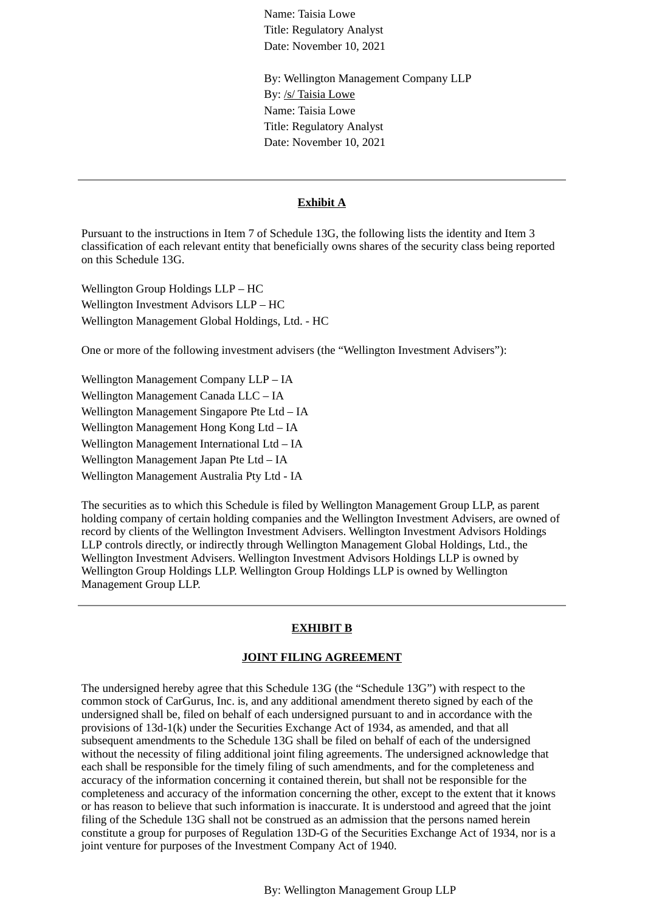Name: Taisia Lowe Title: Regulatory Analyst Date: November 10, 2021

By: Wellington Management Company LLP By: /s/ Taisia Lowe Name: Taisia Lowe Title: Regulatory Analyst Date: November 10, 2021

#### **Exhibit A**

Pursuant to the instructions in Item 7 of Schedule 13G, the following lists the identity and Item 3 classification of each relevant entity that beneficially owns shares of the security class being reported on this Schedule 13G.

Wellington Group Holdings LLP – HC Wellington Investment Advisors LLP – HC Wellington Management Global Holdings, Ltd. - HC

One or more of the following investment advisers (the "Wellington Investment Advisers"):

Wellington Management Company LLP – IA Wellington Management Canada LLC – IA Wellington Management Singapore Pte Ltd – IA Wellington Management Hong Kong Ltd – IA Wellington Management International Ltd – IA Wellington Management Japan Pte Ltd – IA Wellington Management Australia Pty Ltd - IA

The securities as to which this Schedule is filed by Wellington Management Group LLP, as parent holding company of certain holding companies and the Wellington Investment Advisers, are owned of record by clients of the Wellington Investment Advisers. Wellington Investment Advisors Holdings LLP controls directly, or indirectly through Wellington Management Global Holdings, Ltd., the Wellington Investment Advisers. Wellington Investment Advisors Holdings LLP is owned by Wellington Group Holdings LLP. Wellington Group Holdings LLP is owned by Wellington Management Group LLP.

## **EXHIBIT B**

## **JOINT FILING AGREEMENT**

The undersigned hereby agree that this Schedule 13G (the "Schedule 13G") with respect to the common stock of CarGurus, Inc. is, and any additional amendment thereto signed by each of the undersigned shall be, filed on behalf of each undersigned pursuant to and in accordance with the provisions of 13d-1(k) under the Securities Exchange Act of 1934, as amended, and that all subsequent amendments to the Schedule 13G shall be filed on behalf of each of the undersigned without the necessity of filing additional joint filing agreements. The undersigned acknowledge that each shall be responsible for the timely filing of such amendments, and for the completeness and accuracy of the information concerning it contained therein, but shall not be responsible for the completeness and accuracy of the information concerning the other, except to the extent that it knows or has reason to believe that such information is inaccurate. It is understood and agreed that the joint filing of the Schedule 13G shall not be construed as an admission that the persons named herein constitute a group for purposes of Regulation 13D-G of the Securities Exchange Act of 1934, nor is a joint venture for purposes of the Investment Company Act of 1940.